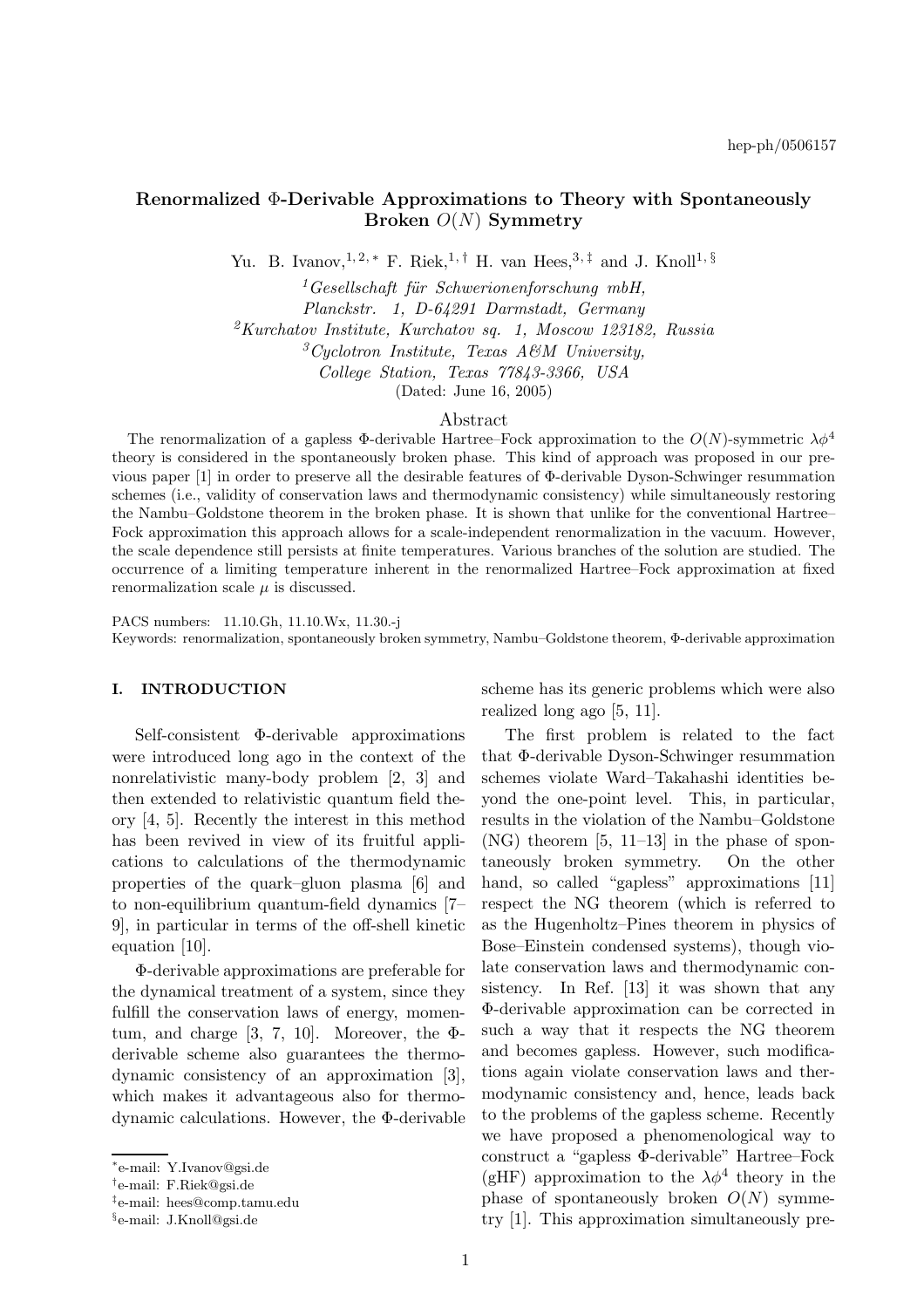# Renormalized Φ-Derivable Approximations to Theory with Spontaneously Broken  $O(N)$  Symmetry

Yu. B. Ivanov, <sup>1, 2, \*</sup> F. Riek, <sup>1, †</sup> H. van Hees, <sup>3, ‡</sup> and J. Knoll<sup>1, §</sup>

 $1 GeB$ sellschaft für Schwerionenforschung mbH, Planckstr. 1, D-64291 Darmstadt, Germany  ${}^{2}Kurchatov$  Institute, Kurchatov sq. 1, Moscow 123182, Russia  ${}^3C$ yclotron Institute, Texas A&M University, College Station, Texas 77843-3366, USA (Dated: June 16, 2005)

#### Abstract

The renormalization of a gapless  $\Phi$ -derivable Hartree–Fock approximation to the  $O(N)$ -symmetric  $\lambda \phi^4$ theory is considered in the spontaneously broken phase. This kind of approach was proposed in our previous paper [1] in order to preserve all the desirable features of Φ-derivable Dyson-Schwinger resummation schemes (i.e., validity of conservation laws and thermodynamic consistency) while simultaneously restoring the Nambu–Goldstone theorem in the broken phase. It is shown that unlike for the conventional Hartree– Fock approximation this approach allows for a scale-independent renormalization in the vacuum. However, the scale dependence still persists at finite temperatures. Various branches of the solution are studied. The occurrence of a limiting temperature inherent in the renormalized Hartree–Fock approximation at fixed renormalization scale  $\mu$  is discussed.

PACS numbers: 11.10.Gh, 11.10.Wx, 11.30.-j Keywords: renormalization, spontaneously broken symmetry, Nambu–Goldstone theorem, Φ-derivable approximation

# I. INTRODUCTION

Self-consistent Φ-derivable approximations were introduced long ago in the context of the nonrelativistic many-body problem [2, 3] and then extended to relativistic quantum field theory [4, 5]. Recently the interest in this method has been revived in view of its fruitful applications to calculations of the thermodynamic properties of the quark–gluon plasma [6] and to non-equilibrium quantum-field dynamics [7– 9], in particular in terms of the off-shell kinetic equation [10].

Φ-derivable approximations are preferable for the dynamical treatment of a system, since they fulfill the conservation laws of energy, momentum, and charge [3, 7, 10]. Moreover, the  $\Phi$ derivable scheme also guarantees the thermodynamic consistency of an approximation [3], which makes it advantageous also for thermodynamic calculations. However, the Φ-derivable scheme has its generic problems which were also realized long ago [5, 11].

The first problem is related to the fact that Φ-derivable Dyson-Schwinger resummation schemes violate Ward–Takahashi identities beyond the one-point level. This, in particular, results in the violation of the Nambu–Goldstone  $(NG)$  theorem  $[5, 11-13]$  in the phase of spontaneously broken symmetry. On the other hand, so called "gapless" approximations [11] respect the NG theorem (which is referred to as the Hugenholtz–Pines theorem in physics of Bose–Einstein condensed systems), though violate conservation laws and thermodynamic consistency. In Ref. [13] it was shown that any Φ-derivable approximation can be corrected in such a way that it respects the NG theorem and becomes gapless. However, such modifications again violate conservation laws and thermodynamic consistency and, hence, leads back to the problems of the gapless scheme. Recently we have proposed a phenomenological way to construct a "gapless Φ-derivable" Hartree–Fock (gHF) approximation to the  $\lambda \phi^4$  theory in the phase of spontaneously broken  $O(N)$  symmetry [1]. This approximation simultaneously pre-

<sup>∗</sup> e-mail: Y.Ivanov@gsi.de

<sup>†</sup> e-mail: F.Riek@gsi.de

<sup>‡</sup> e-mail: hees@comp.tamu.edu

<sup>§</sup> e-mail: J.Knoll@gsi.de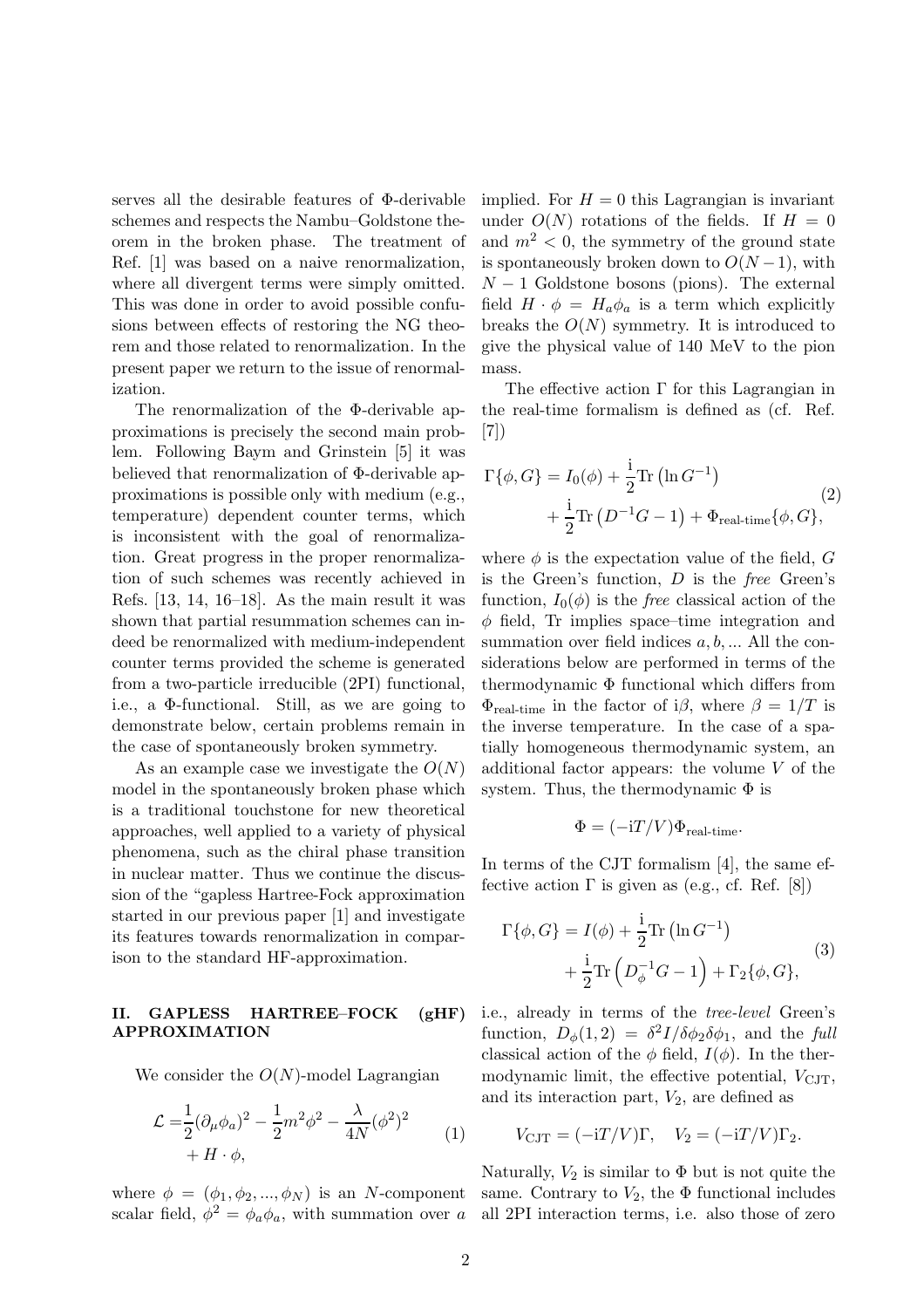serves all the desirable features of Φ-derivable schemes and respects the Nambu–Goldstone theorem in the broken phase. The treatment of Ref. [1] was based on a naive renormalization, where all divergent terms were simply omitted. This was done in order to avoid possible confusions between effects of restoring the NG theorem and those related to renormalization. In the present paper we return to the issue of renormalization.

The renormalization of the Φ-derivable approximations is precisely the second main problem. Following Baym and Grinstein [5] it was believed that renormalization of Φ-derivable approximations is possible only with medium (e.g., temperature) dependent counter terms, which is inconsistent with the goal of renormalization. Great progress in the proper renormalization of such schemes was recently achieved in Refs. [13, 14, 16–18]. As the main result it was shown that partial resummation schemes can indeed be renormalized with medium-independent counter terms provided the scheme is generated from a two-particle irreducible (2PI) functional, i.e., a Φ-functional. Still, as we are going to demonstrate below, certain problems remain in the case of spontaneously broken symmetry.

As an example case we investigate the  $O(N)$ model in the spontaneously broken phase which is a traditional touchstone for new theoretical approaches, well applied to a variety of physical phenomena, such as the chiral phase transition in nuclear matter. Thus we continue the discussion of the "gapless Hartree-Fock approximation started in our previous paper [1] and investigate its features towards renormalization in comparison to the standard HF-approximation.

#### II. GAPLESS HARTREE–FOCK (gHF) APPROXIMATION

We consider the  $O(N)$ -model Lagrangian

$$
\mathcal{L} = \frac{1}{2} (\partial_{\mu} \phi_a)^2 - \frac{1}{2} m^2 \phi^2 - \frac{\lambda}{4N} (\phi^2)^2
$$
  
+  $H \cdot \phi,$  (1)

scalar field,  $\phi^2 = \phi_a \phi_a$ , with summation over a all 2PI interaction terms, i.e. also those of zero

implied. For  $H = 0$  this Lagrangian is invariant under  $O(N)$  rotations of the fields. If  $H = 0$ and  $m^2 < 0$ , the symmetry of the ground state is spontaneously broken down to  $O(N-1)$ , with  $N-1$  Goldstone bosons (pions). The external field  $H \cdot \phi = H_a \phi_a$  is a term which explicitly breaks the  $O(N)$  symmetry. It is introduced to give the physical value of 140 MeV to the pion mass.

The effective action  $\Gamma$  for this Lagrangian in the real-time formalism is defined as (cf. Ref. [7])

$$
\Gamma\{\phi, G\} = I_0(\phi) + \frac{\mathrm{i}}{2} \text{Tr}\left(\ln G^{-1}\right)
$$
  
+ 
$$
\frac{\mathrm{i}}{2} \text{Tr}\left(D^{-1}G - 1\right) + \Phi_{\text{real-time}}\{\phi, G\},\tag{2}
$$

where  $\phi$  is the expectation value of the field, G is the Green's function, D is the free Green's function,  $I_0(\phi)$  is the *free* classical action of the  $\phi$  field, Tr implies space–time integration and summation over field indices  $a, b, \ldots$  All the considerations below are performed in terms of the thermodynamic Φ functional which differs from  $\Phi_{\text{real-time}}$  in the factor of i $\beta$ , where  $\beta = 1/T$  is the inverse temperature. In the case of a spatially homogeneous thermodynamic system, an additional factor appears: the volume V of the system. Thus, the thermodynamic  $\Phi$  is

$$
\Phi = (-iT/V)\Phi_{\text{real-time}}.
$$

In terms of the CJT formalism [4], the same effective action  $\Gamma$  is given as (e.g., cf. Ref. [8])

$$
\Gamma\{\phi, G\} = I(\phi) + \frac{i}{2} \text{Tr} (\ln G^{-1}) + \frac{i}{2} \text{Tr} (D_{\phi}^{-1} G - 1) + \Gamma_2\{\phi, G\},
$$
\n(3)

i.e., already in terms of the tree-level Green's function,  $D_{\phi}(1,2) = \frac{\delta^2 I}{\delta \phi_2 \delta \phi_1}$ , and the full classical action of the  $\phi$  field,  $I(\phi)$ . In the thermodynamic limit, the effective potential,  $V<sub>CJT</sub>$ , and its interaction part,  $V_2$ , are defined as

$$
V_{\text{CJT}} = (-iT/V)\Gamma, \quad V_2 = (-iT/V)\Gamma_2.
$$

where  $\phi = (\phi_1, \phi_2, ..., \phi_N)$  is an N-component same. Contrary to  $V_2$ , the  $\Phi$  functional includes Naturally,  $V_2$  is similar to  $\Phi$  but is not quite the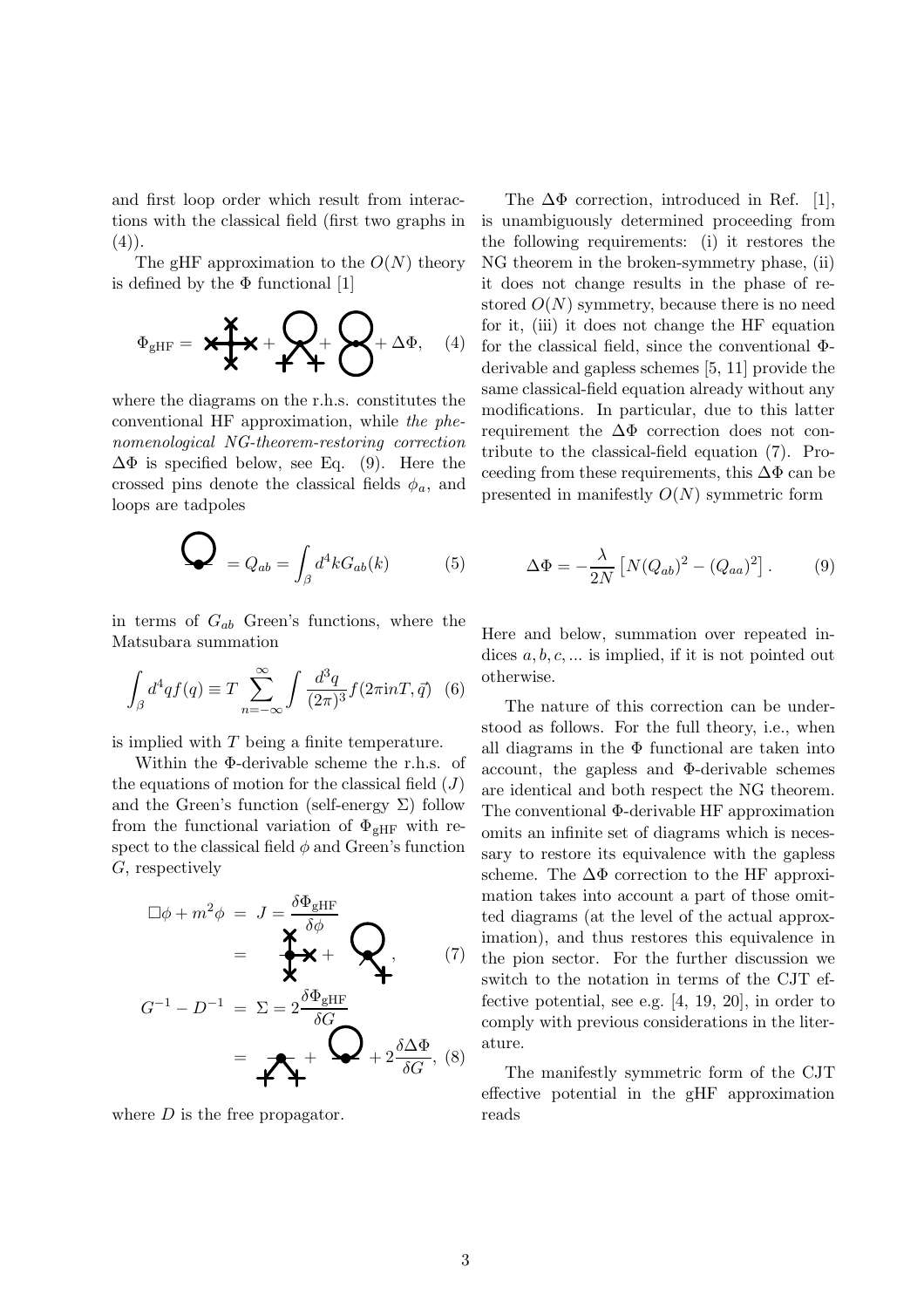and first loop order which result from interactions with the classical field (first two graphs in  $(4)$ ).

The gHF approximation to the  $O(N)$  theory is defined by the  $\Phi$  functional [1]

$$
\Phi_{\text{gHF}} = \mathbf{X} \mathbf{X} + \mathbf{X} + \mathbf{X} + \mathbf{X} + \Delta \Phi, \quad (4)
$$

where the diagrams on the r.h.s. constitutes the conventional HF approximation, while the phenomenological NG-theorem-restoring correction  $\Delta\Phi$  is specified below, see Eq. (9). Here the crossed pins denote the classical fields  $\phi_a$ , and loops are tadpoles

$$
\bigotimes_{i} Q_{ab} = \int_{\beta} d^4k G_{ab}(k) \tag{5}
$$

in terms of  $G_{ab}$  Green's functions, where the Matsubara summation

$$
\int_{\beta} d^4q f(q) \equiv T \sum_{n=-\infty}^{\infty} \int \frac{d^3q}{(2\pi)^3} f(2\pi \mathrm{i} n T, \vec{q}) \tag{6}
$$

is implied with  $T$  being a finite temperature.

Within the Φ-derivable scheme the r.h.s. of the equations of motion for the classical field  $(J)$ and the Green's function (self-energy  $\Sigma$ ) follow from the functional variation of  $\Phi_{\text{gHF}}$  with respect to the classical field  $\phi$  and Green's function G, respectively

$$
\Box \phi + m^2 \phi = J = \frac{\delta \Phi_{\text{gHF}}}{\sum_{i=1}^{N} \phi_{\text{gHF}}} = \sum_{i=1}^{N} \sum_{j=1}^{N} \phi_{\text{gHF}} \phi_{\text{gHF}}
$$
\n
$$
G^{-1} - D^{-1} = \Sigma = 2 \frac{\delta \Phi_{\text{gHF}}}{\delta G}
$$
\n
$$
= \sum_{i=1}^{N} \phi_{\text{gHF}} + 2 \frac{\delta \Delta \Phi}{\delta G}, \quad (8)
$$

where  $D$  is the free propagator.

The  $\Delta\Phi$  correction, introduced in Ref. [1], is unambiguously determined proceeding from the following requirements: (i) it restores the NG theorem in the broken-symmetry phase, (ii) it does not change results in the phase of restored  $O(N)$  symmetry, because there is no need for it, (iii) it does not change the HF equation for the classical field, since the conventional Φderivable and gapless schemes [5, 11] provide the same classical-field equation already without any modifications. In particular, due to this latter requirement the  $\Delta\Phi$  correction does not contribute to the classical-field equation (7). Proceeding from these requirements, this  $\Delta\Phi$  can be presented in manifestly  $O(N)$  symmetric form

$$
\Delta \Phi = -\frac{\lambda}{2N} \left[ N(Q_{ab})^2 - (Q_{aa})^2 \right]. \tag{9}
$$

Here and below, summation over repeated indices  $a, b, c, \ldots$  is implied, if it is not pointed out otherwise.

The nature of this correction can be understood as follows. For the full theory, i.e., when all diagrams in the  $\Phi$  functional are taken into account, the gapless and Φ-derivable schemes are identical and both respect the NG theorem. The conventional Φ-derivable HF approximation omits an infinite set of diagrams which is necessary to restore its equivalence with the gapless scheme. The  $\Delta\Phi$  correction to the HF approximation takes into account a part of those omitted diagrams (at the level of the actual approximation), and thus restores this equivalence in the pion sector. For the further discussion we switch to the notation in terms of the CJT effective potential, see e.g. [4, 19, 20], in order to comply with previous considerations in the literature.

The manifestly symmetric form of the CJT effective potential in the gHF approximation reads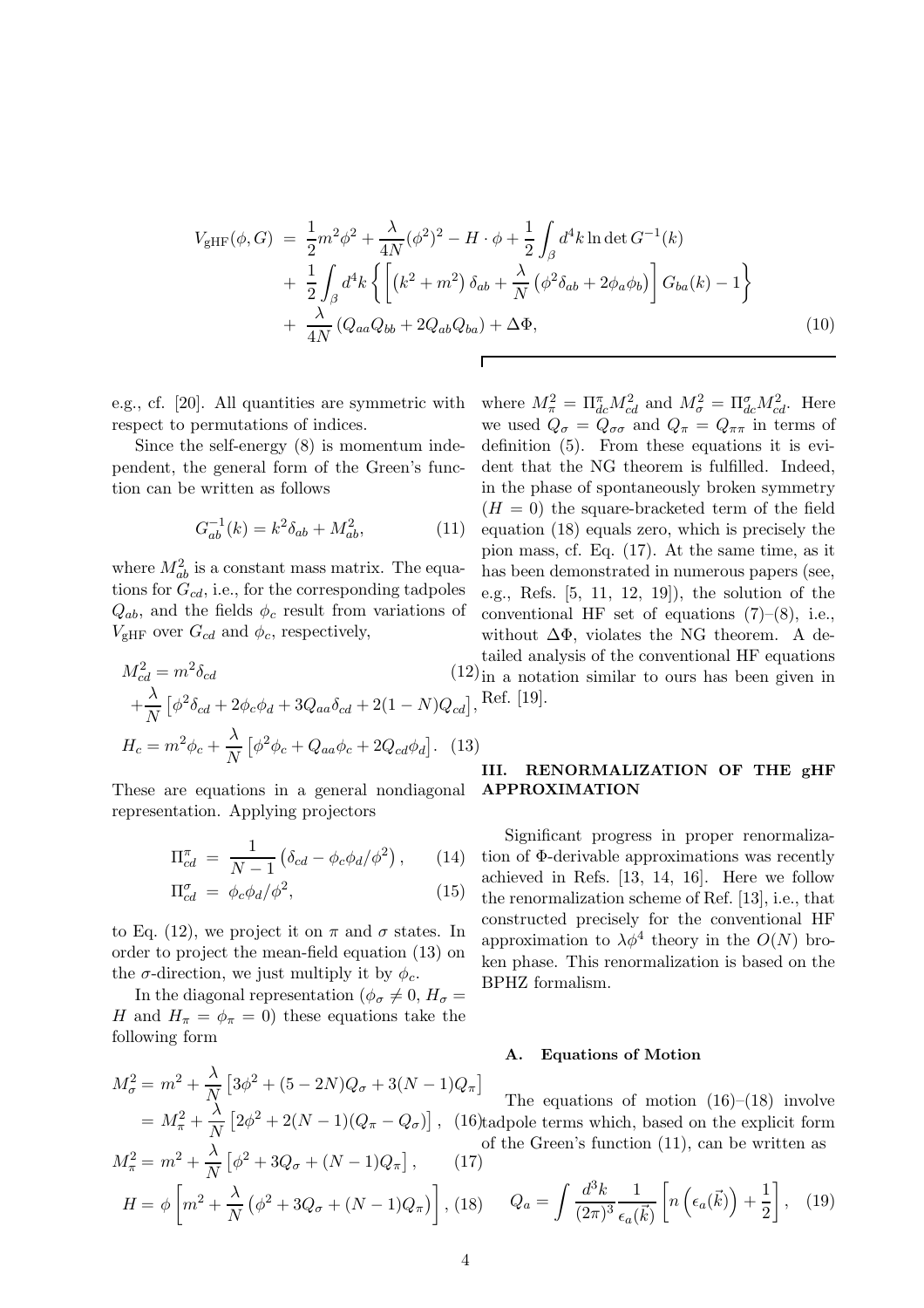$$
V_{\text{gHF}}(\phi, G) = \frac{1}{2}m^2\phi^2 + \frac{\lambda}{4N}(\phi^2)^2 - H \cdot \phi + \frac{1}{2} \int_{\beta} d^4k \ln \det G^{-1}(k) + \frac{1}{2} \int_{\beta} d^4k \left\{ \left[ \left( k^2 + m^2 \right) \delta_{ab} + \frac{\lambda}{N} \left( \phi^2 \delta_{ab} + 2\phi_a \phi_b \right) \right] G_{ba}(k) - 1 \right\} + \frac{\lambda}{4N} \left( Q_{aa} Q_{bb} + 2Q_{ab} Q_{ba} \right) + \Delta \Phi,
$$
\n(10)

e.g., cf. [20]. All quantities are symmetric with respect to permutations of indices.

Since the self-energy (8) is momentum independent, the general form of the Green's function can be written as follows

$$
G_{ab}^{-1}(k) = k^2 \delta_{ab} + M_{ab}^2,
$$
 (11)

where  $M_{ab}^2$  is a constant mass matrix. The equations for  $G_{cd}$ , i.e., for the corresponding tadpoles  $Q_{ab}$ , and the fields  $\phi_c$  result from variations of  $V_{\text{gHF}}$  over  $G_{cd}$  and  $\phi_c$ , respectively,

$$
M_{cd}^{2} = m^{2} \delta_{cd}
$$
\n
$$
+ \frac{\lambda}{N} \left[ \phi^{2} \delta_{cd} + 2 \phi_{c} \phi_{d} + 3 Q_{aa} \delta_{cd} + 2 (1 - N) Q_{cd} \right],
$$
\n
$$
H_{c} = m^{2} \phi_{c} + \frac{\lambda}{N} \left[ \phi^{2} \phi_{c} + Q_{aa} \phi_{c} + 2 Q_{cd} \phi_{d} \right].
$$
\n(13)

These are equations in a general nondiagonal representation. Applying projectors

$$
\Pi_{cd}^{\pi} = \frac{1}{N-1} \left( \delta_{cd} - \phi_c \phi_d / \phi^2 \right), \qquad (14)
$$

$$
\Pi_{cd}^{\sigma} = \phi_c \phi_d / \phi^2, \qquad (15)
$$

to Eq. (12), we project it on  $\pi$  and  $\sigma$  states. In order to project the mean-field equation (13) on the  $\sigma$ -direction, we just multiply it by  $\phi_c$ .

In the diagonal representation ( $\phi_{\sigma} \neq 0, H_{\sigma} =$ H and  $H_{\pi} = \phi_{\pi} = 0$ ) these equations take the following form

$$
M_{\sigma}^{2} = m^{2} + \frac{\lambda}{N} \left[ 3\phi^{2} + (5 - 2N)Q_{\sigma} + 3(N - 1)Q_{\pi} \right]
$$
  
=  $M_{\pi}^{2} + \frac{\lambda}{N} \left[ 2\phi^{2} + 2(N - 1)(Q_{\pi} - Q_{\sigma}) \right],$  (16)  
 $M_{\pi}^{2} = m^{2} + \frac{\lambda}{N} \left[ \phi^{2} + 3Q_{\sigma} + (N - 1)Q_{\pi} \right],$  (17)

where  $M_{\pi}^2 = \Pi_{dc}^{\pi} M_{cd}^2$  and  $M_{\sigma}^2 = \Pi_{dc}^{\sigma} M_{cd}^2$ . Here we used  $Q_{\sigma} = Q_{\sigma\sigma}$  and  $Q_{\pi} = Q_{\pi\pi}$  in terms of definition (5). From these equations it is evident that the NG theorem is fulfilled. Indeed, in the phase of spontaneously broken symmetry  $(H = 0)$  the square-bracketed term of the field equation (18) equals zero, which is precisely the pion mass, cf. Eq. (17). At the same time, as it has been demonstrated in numerous papers (see, e.g., Refs. [5, 11, 12, 19]), the solution of the conventional HF set of equations  $(7)-(8)$ , i.e., without  $\Delta\Phi$ , violates the NG theorem. A detailed analysis of the conventional HF equations in a notation similar to ours has been given in Ref. [19].

# III. RENORMALIZATION OF THE gHF APPROXIMATION

Significant progress in proper renormalization of Φ-derivable approximations was recently achieved in Refs. [13, 14, 16]. Here we follow the renormalization scheme of Ref. [13], i.e., that constructed precisely for the conventional HF approximation to  $\lambda \phi^4$  theory in the  $O(N)$  broken phase. This renormalization is based on the BPHZ formalism.

#### A. Equations of Motion

, (16) tadpole terms which, based on the explicit form The equations of motion  $(16)$ – $(18)$  involve of the Green's function (11), can be written as

$$
M_{\pi}^{2} = m^{2} + \frac{\Lambda}{N} \left[ \phi^{2} + 3Q_{\sigma} + (N - 1)Q_{\pi} \right], \qquad (17)
$$
  

$$
H = \phi \left[ m^{2} + \frac{\lambda}{N} \left( \phi^{2} + 3Q_{\sigma} + (N - 1)Q_{\pi} \right) \right], \qquad (18)
$$
  

$$
Q_{a} = \int \frac{d^{3}k}{(2\pi)^{3}} \frac{1}{\epsilon_{a}(\vec{k})} \left[ n \left( \epsilon_{a}(\vec{k}) \right) + \frac{1}{2} \right], \qquad (19)
$$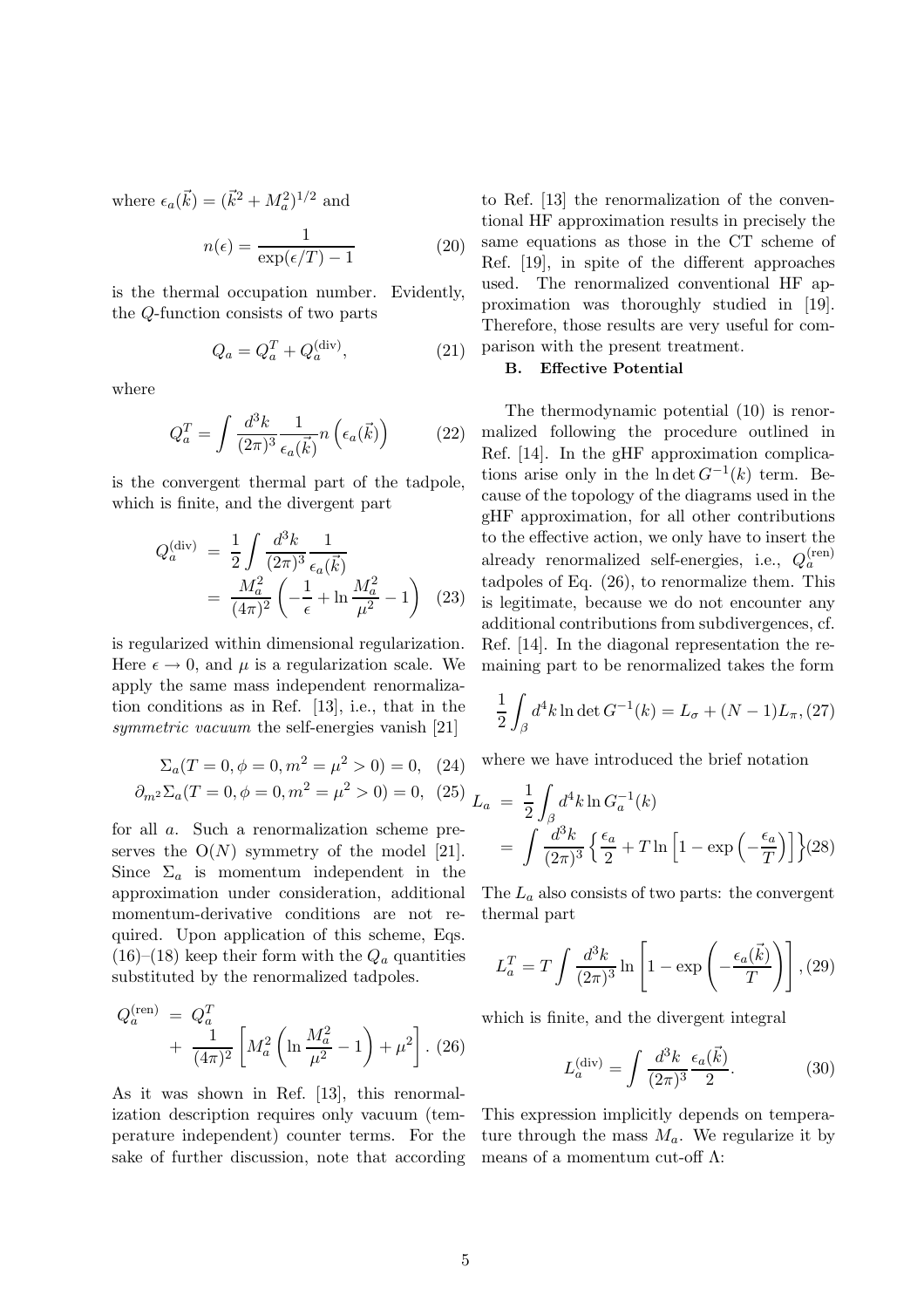where  $\epsilon_a(\vec{k}) = (\vec{k}^2 + M_a^2)^{1/2}$  and

$$
n(\epsilon) = \frac{1}{\exp(\epsilon/T) - 1} \tag{20}
$$

is the thermal occupation number. Evidently, the Q-function consists of two parts

$$
Q_a = Q_a^T + Q_a^{\text{(div)}},\tag{21}
$$

where

$$
Q_a^T = \int \frac{d^3k}{(2\pi)^3} \frac{1}{\epsilon_a(\vec{k})} n\left(\epsilon_a(\vec{k})\right) \tag{22}
$$

is the convergent thermal part of the tadpole, which is finite, and the divergent part

$$
Q_a^{(\text{div})} = \frac{1}{2} \int \frac{d^3k}{(2\pi)^3} \frac{1}{\epsilon_a(\vec{k})}
$$
  
= 
$$
\frac{M_a^2}{(4\pi)^2} \left( -\frac{1}{\epsilon} + \ln \frac{M_a^2}{\mu^2} - 1 \right)
$$
 (23)

is regularized within dimensional regularization. Here  $\epsilon \to 0$ , and  $\mu$  is a regularization scale. We apply the same mass independent renormalization conditions as in Ref. [13], i.e., that in the symmetric vacuum the self-energies vanish [21]

$$
\Sigma_a(T = 0, \phi = 0, m^2 = \mu^2 > 0) = 0, (24)
$$
  

$$
\partial_{m^2} \Sigma_a(T = 0, \phi = 0, m^2 = \mu^2 > 0) = 0, (25)
$$

for all a. Such a renormalization scheme preserves the  $O(N)$  symmetry of the model [21]. Since  $\Sigma_a$  is momentum independent in the approximation under consideration, additional momentum-derivative conditions are not required. Upon application of this scheme, Eqs.  $(16)$ – $(18)$  keep their form with the  $Q_a$  quantities substituted by the renormalized tadpoles.

$$
Q_a^{(\text{ren})} = Q_a^T + \frac{1}{(4\pi)^2} \left[ M_a^2 \left( \ln \frac{M_a^2}{\mu^2} - 1 \right) + \mu^2 \right]. (26)
$$

As it was shown in Ref. [13], this renormalization description requires only vacuum (temperature independent) counter terms. For the sake of further discussion, note that according to Ref. [13] the renormalization of the conventional HF approximation results in precisely the same equations as those in the CT scheme of Ref. [19], in spite of the different approaches used. The renormalized conventional HF approximation was thoroughly studied in [19]. Therefore, those results are very useful for comparison with the present treatment.

# B. Effective Potential

The thermodynamic potential (10) is renormalized following the procedure outlined in Ref. [14]. In the gHF approximation complications arise only in the ln det  $G^{-1}(k)$  term. Because of the topology of the diagrams used in the gHF approximation, for all other contributions to the effective action, we only have to insert the already renormalized self-energies, i.e.,  $Q_a^{\text{(ren)}}$ tadpoles of Eq. (26), to renormalize them. This is legitimate, because we do not encounter any additional contributions from subdivergences, cf. Ref. [14]. In the diagonal representation the remaining part to be renormalized takes the form

$$
\frac{1}{2} \int_{\beta} d^4 k \ln \det G^{-1}(k) = L_{\sigma} + (N - 1)L_{\pi}, (27)
$$

where we have introduced the brief notation

$$
L_a = \frac{1}{2} \int_{\beta} d^4 k \ln G_a^{-1}(k)
$$
  
= 
$$
\int \frac{d^3 k}{(2\pi)^3} \left\{ \frac{\epsilon_a}{2} + T \ln \left[ 1 - \exp\left( -\frac{\epsilon_a}{T} \right) \right] \right\} (28)
$$

The  $L_a$  also consists of two parts: the convergent thermal part

$$
L_a^T = T \int \frac{d^3k}{(2\pi)^3} \ln \left[ 1 - \exp\left( -\frac{\epsilon_a(\vec{k})}{T} \right) \right], (29)
$$

which is finite, and the divergent integral

$$
L_a^{(\text{div})} = \int \frac{d^3k}{(2\pi)^3} \frac{\epsilon_a(\vec{k})}{2}.
$$
 (30)

This expression implicitly depends on temperature through the mass  $M_a$ . We regularize it by means of a momentum cut-off  $\Lambda$ :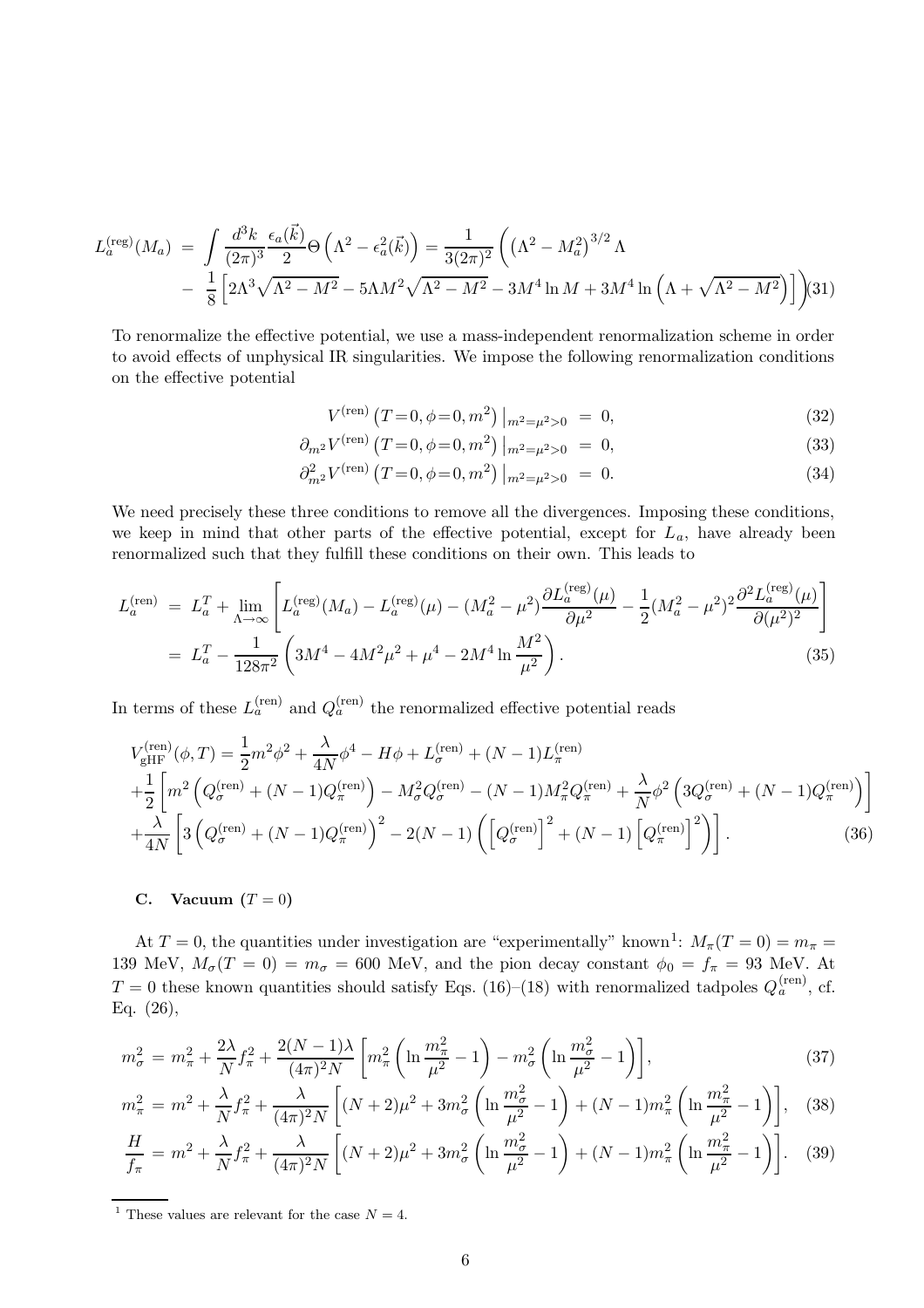$$
L_a^{(\text{reg})}(M_a) = \int \frac{d^3k}{(2\pi)^3} \frac{\epsilon_a(\vec{k})}{2} \Theta\left(\Lambda^2 - \epsilon_a^2(\vec{k})\right) = \frac{1}{3(2\pi)^2} \left((\Lambda^2 - M_a^2)^{3/2} \Lambda - \frac{1}{8} \left[2\Lambda^3 \sqrt{\Lambda^2 - M^2} - 5\Lambda M^2 \sqrt{\Lambda^2 - M^2} - 3M^4 \ln M + 3M^4 \ln \left(\Lambda + \sqrt{\Lambda^2 - M^2}\right)\right]\right)
$$
(31)

To renormalize the effective potential, we use a mass-independent renormalization scheme in order to avoid effects of unphysical IR singularities. We impose the following renormalization conditions on the effective potential

$$
V^{(\text{ren})} (T=0, \phi=0, m^2) \big|_{m^2=\mu^2>0} = 0, \tag{32}
$$

$$
\partial_{m^2} V^{(\text{ren})} \left( T = 0, \phi = 0, m^2 \right) \Big|_{m^2 = \mu^2 > 0} = 0,\tag{33}
$$

$$
\partial_{m^2}^2 V^{(\text{ren})} \left( T = 0, \phi = 0, m^2 \right) \Big|_{m^2 = \mu^2 > 0} = 0. \tag{34}
$$

We need precisely these three conditions to remove all the divergences. Imposing these conditions, we keep in mind that other parts of the effective potential, except for  $L_a$ , have already been renormalized such that they fulfill these conditions on their own. This leads to

$$
L_a^{\text{(ren)}} = L_a^T + \lim_{\Lambda \to \infty} \left[ L_a^{\text{(reg)}}(M_a) - L_a^{\text{(reg)}}(\mu) - (M_a^2 - \mu^2) \frac{\partial L_a^{\text{(reg)}}(\mu)}{\partial \mu^2} - \frac{1}{2} (M_a^2 - \mu^2)^2 \frac{\partial^2 L_a^{\text{(reg)}}(\mu)}{\partial (\mu^2)^2} \right]
$$
  
=  $L_a^T - \frac{1}{128\pi^2} \left( 3M^4 - 4M^2\mu^2 + \mu^4 - 2M^4 \ln \frac{M^2}{\mu^2} \right).$  (35)

In terms of these  $L_a^{(ren)}$  and  $Q_a^{(ren)}$  the renormalized effective potential reads

$$
V_{\text{gHF}}^{(\text{ren})}(\phi, T) = \frac{1}{2}m^2\phi^2 + \frac{\lambda}{4N}\phi^4 - H\phi + L_{\sigma}^{(\text{ren})} + (N - 1)L_{\pi}^{(\text{ren})} + \frac{1}{2}\left[m^2\left(Q_{\sigma}^{(\text{ren})} + (N - 1)Q_{\pi}^{(\text{ren})}\right) - M_{\sigma}^2Q_{\sigma}^{(\text{ren})} - (N - 1)M_{\pi}^2Q_{\pi}^{(\text{ren})} + \frac{\lambda}{N}\phi^2\left(3Q_{\sigma}^{(\text{ren})} + (N - 1)Q_{\pi}^{(\text{ren})}\right)\right] + \frac{\lambda}{4N}\left[3\left(Q_{\sigma}^{(\text{ren})} + (N - 1)Q_{\pi}^{(\text{ren})}\right)^2 - 2(N - 1)\left(\left[Q_{\sigma}^{(\text{ren})}\right]^2 + (N - 1)\left[Q_{\pi}^{(\text{ren})}\right]^2\right)\right].
$$
 (36)

### C. Vacuum  $(T = 0)$

At  $T = 0$ , the quantities under investigation are "experimentally" known<sup>1</sup>:  $M_{\pi}(T = 0) = m_{\pi} =$ 139 MeV,  $M_{\sigma}(T=0) = m_{\sigma} = 600$  MeV, and the pion decay constant  $\phi_0 = f_{\pi} = 93$  MeV. At  $T = 0$  these known quantities should satisfy Eqs. (16)–(18) with renormalized tadpoles  $Q_a^{(ren)}$ , cf. Eq. (26),

$$
m_{\sigma}^{2} = m_{\pi}^{2} + \frac{2\lambda}{N} f_{\pi}^{2} + \frac{2(N-1)\lambda}{(4\pi)^{2} N} \left[ m_{\pi}^{2} \left( \ln \frac{m_{\pi}^{2}}{\mu^{2}} - 1 \right) - m_{\sigma}^{2} \left( \ln \frac{m_{\sigma}^{2}}{\mu^{2}} - 1 \right) \right],
$$
\n(37)

$$
m_{\pi}^{2} = m^{2} + \frac{\lambda}{N} f_{\pi}^{2} + \frac{\lambda}{(4\pi)^{2} N} \left[ (N+2)\mu^{2} + 3m_{\sigma}^{2} \left( \ln \frac{m_{\sigma}^{2}}{\mu^{2}} - 1 \right) + (N-1)m_{\pi}^{2} \left( \ln \frac{m_{\pi}^{2}}{\mu^{2}} - 1 \right) \right], \quad (38)
$$

$$
\frac{H}{f_{\pi}} = m^2 + \frac{\lambda}{N} f_{\pi}^2 + \frac{\lambda}{(4\pi)^2 N} \left[ (N+2)\mu^2 + 3m_{\sigma}^2 \left( \ln \frac{m_{\sigma}^2}{\mu^2} - 1 \right) + (N-1)m_{\pi}^2 \left( \ln \frac{m_{\pi}^2}{\mu^2} - 1 \right) \right].
$$
 (39)

<sup>1</sup> These values are relevant for the case  $N = 4$ .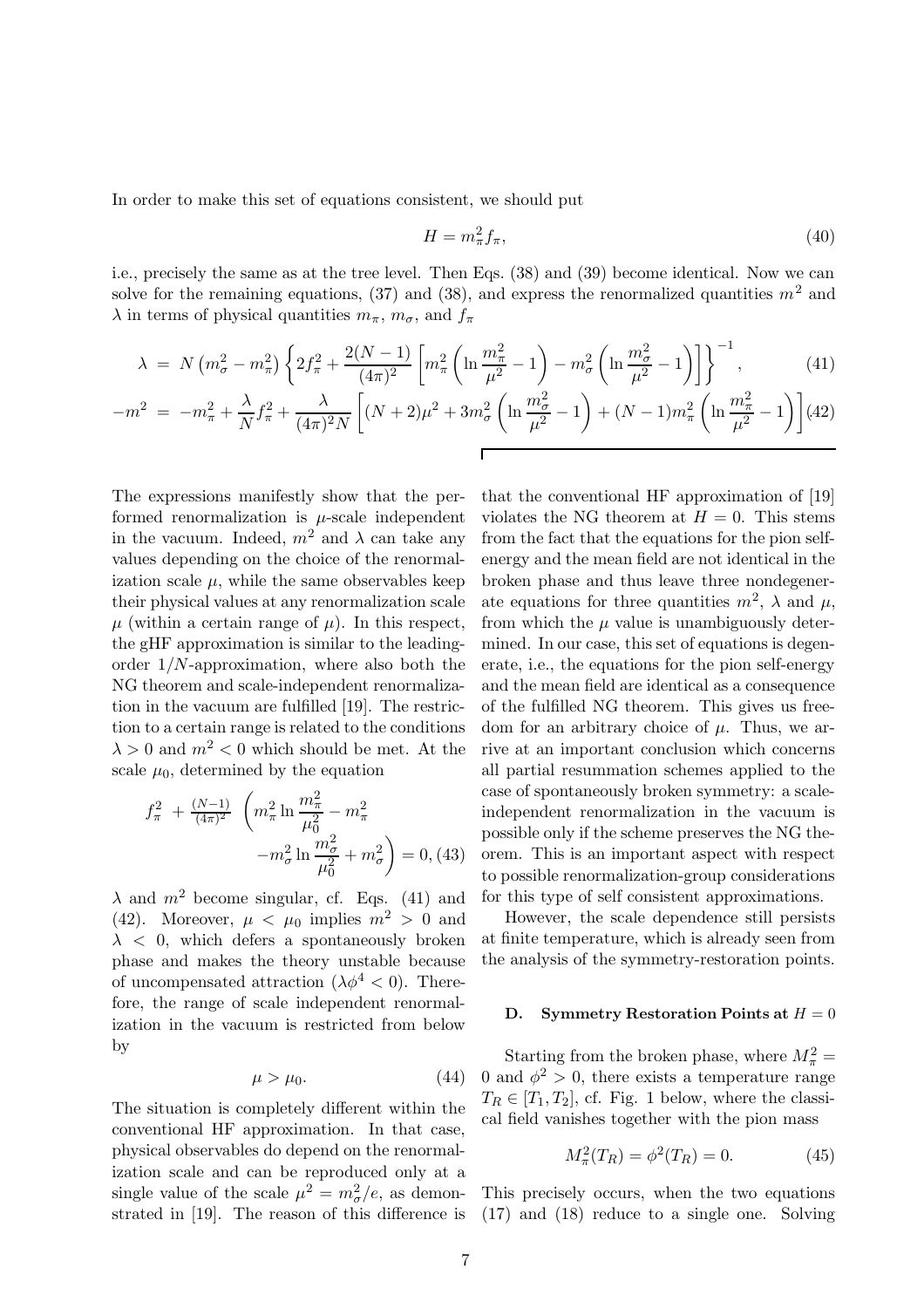In order to make this set of equations consistent, we should put

$$
H = m_{\pi}^2 f_{\pi},\tag{40}
$$

i.e., precisely the same as at the tree level. Then Eqs. (38) and (39) become identical. Now we can solve for the remaining equations, (37) and (38), and express the renormalized quantities  $m^2$  and  $\lambda$  in terms of physical quantities  $m_{\pi}$ ,  $m_{\sigma}$ , and  $f_{\pi}$ 

$$
\lambda = N \left( m_{\sigma}^{2} - m_{\pi}^{2} \right) \left\{ 2f_{\pi}^{2} + \frac{2(N-1)}{(4\pi)^{2}} \left[ m_{\pi}^{2} \left( \ln \frac{m_{\pi}^{2}}{\mu^{2}} - 1 \right) - m_{\sigma}^{2} \left( \ln \frac{m_{\sigma}^{2}}{\mu^{2}} - 1 \right) \right] \right\}^{-1},
$$
\n(41)

$$
-m^{2} = -m_{\pi}^{2} + \frac{\lambda}{N} f_{\pi}^{2} + \frac{\lambda}{(4\pi)^{2} N} \left[ (N+2)\mu^{2} + 3m_{\sigma}^{2} \left( \ln \frac{m_{\sigma}^{2}}{\mu^{2}} - 1 \right) + (N-1)m_{\pi}^{2} \left( \ln \frac{m_{\pi}^{2}}{\mu^{2}} - 1 \right) \right] (42)
$$

The expressions manifestly show that the performed renormalization is  $\mu$ -scale independent in the vacuum. Indeed,  $m^2$  and  $\lambda$  can take any values depending on the choice of the renormalization scale  $\mu$ , while the same observables keep their physical values at any renormalization scale  $\mu$  (within a certain range of  $\mu$ ). In this respect, the gHF approximation is similar to the leadingorder  $1/N$ -approximation, where also both the NG theorem and scale-independent renormalization in the vacuum are fulfilled [19]. The restriction to a certain range is related to the conditions  $\lambda > 0$  and  $m^2 < 0$  which should be met. At the scale  $\mu_0$ , determined by the equation

$$
f_{\pi}^{2} + \frac{(N-1)}{(4\pi)^{2}} \left( m_{\pi}^{2} \ln \frac{m_{\pi}^{2}}{\mu_{0}^{2}} - m_{\pi}^{2} - m_{\pi}^{2} \ln \frac{m_{\sigma}^{2}}{\mu_{0}^{2}} + m_{\sigma}^{2} \right) = 0, (43)
$$

 $\lambda$  and  $m^2$  become singular, cf. Eqs. (41) and (42). Moreover,  $\mu < \mu_0$  implies  $m^2 > 0$  and  $\lambda$  < 0, which defers a spontaneously broken phase and makes the theory unstable because of uncompensated attraction  $(\lambda \phi^4 < 0)$ . Therefore, the range of scale independent renormalization in the vacuum is restricted from below by

$$
\mu > \mu_0. \tag{44}
$$

The situation is completely different within the conventional HF approximation. In that case, physical observables do depend on the renormalization scale and can be reproduced only at a single value of the scale  $\mu^2 = m_{\sigma}^2/e$ , as demonstrated in [19]. The reason of this difference is that the conventional HF approximation of [19] violates the NG theorem at  $H = 0$ . This stems from the fact that the equations for the pion selfenergy and the mean field are not identical in the broken phase and thus leave three nondegenerate equations for three quantities  $m^2$ ,  $\lambda$  and  $\mu$ , from which the  $\mu$  value is unambiguously determined. In our case, this set of equations is degenerate, i.e., the equations for the pion self-energy and the mean field are identical as a consequence of the fulfilled NG theorem. This gives us freedom for an arbitrary choice of  $\mu$ . Thus, we arrive at an important conclusion which concerns all partial resummation schemes applied to the case of spontaneously broken symmetry: a scaleindependent renormalization in the vacuum is possible only if the scheme preserves the NG theorem. This is an important aspect with respect to possible renormalization-group considerations for this type of self consistent approximations.

However, the scale dependence still persists at finite temperature, which is already seen from the analysis of the symmetry-restoration points.

#### D. Symmetry Restoration Points at  $H = 0$

Starting from the broken phase, where  $M_{\pi}^2$  = 0 and  $\phi^2 > 0$ , there exists a temperature range  $T_R \in [T_1, T_2]$ , cf. Fig. 1 below, where the classical field vanishes together with the pion mass

$$
M_{\pi}^{2}(T_{R}) = \phi^{2}(T_{R}) = 0.
$$
 (45)

This precisely occurs, when the two equations (17) and (18) reduce to a single one. Solving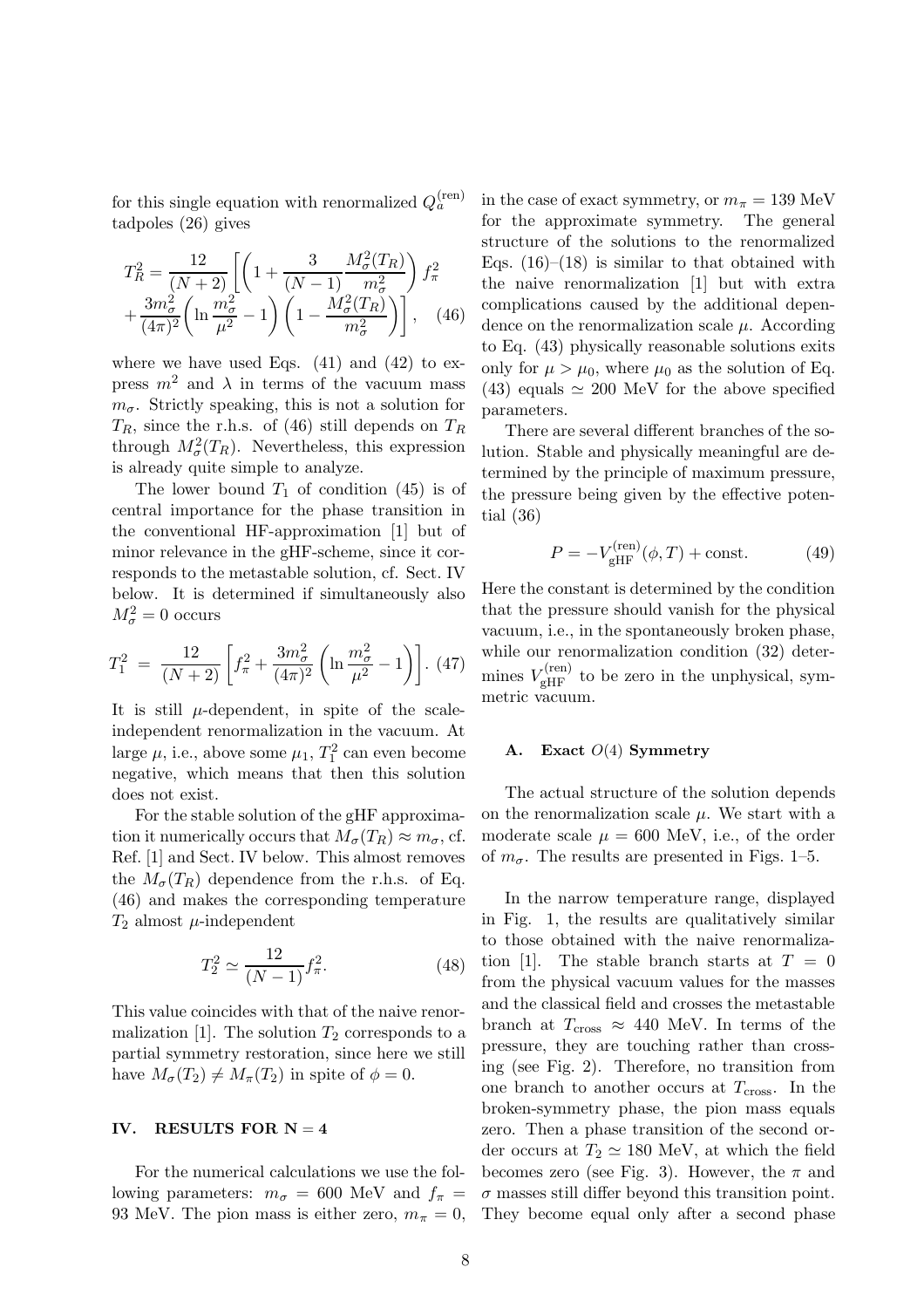for this single equation with renormalized  $Q_a^{(\text{ren})}$ tadpoles (26) gives

$$
T_R^2 = \frac{12}{(N+2)} \left[ \left( 1 + \frac{3}{(N-1)} \frac{M_\sigma^2(T_R)}{m_\sigma^2} \right) f_\pi^2 + \frac{3m_\sigma^2}{(4\pi)^2} \left( \ln \frac{m_\sigma^2}{\mu^2} - 1 \right) \left( 1 - \frac{M_\sigma^2(T_R)}{m_\sigma^2} \right) \right], \quad (46)
$$

where we have used Eqs.  $(41)$  and  $(42)$  to express  $m^2$  and  $\lambda$  in terms of the vacuum mass  $m_{\sigma}$ . Strictly speaking, this is not a solution for  $T_R$ , since the r.h.s. of (46) still depends on  $T_R$ through  $M_{\sigma}^2(T_R)$ . Nevertheless, this expression is already quite simple to analyze.

The lower bound  $T_1$  of condition (45) is of central importance for the phase transition in the conventional HF-approximation [1] but of minor relevance in the gHF-scheme, since it corresponds to the metastable solution, cf. Sect. IV below. It is determined if simultaneously also  $M_{\sigma}^2=0$  occurs

$$
T_1^2 = \frac{12}{(N+2)} \left[ f_\pi^2 + \frac{3m_\sigma^2}{(4\pi)^2} \left( \ln \frac{m_\sigma^2}{\mu^2} - 1 \right) \right]. \tag{47}
$$

It is still  $\mu$ -dependent, in spite of the scaleindependent renormalization in the vacuum. At large  $\mu$ , i.e., above some  $\mu_1$ ,  $T_1^2$  can even become negative, which means that then this solution does not exist.

For the stable solution of the gHF approximation it numerically occurs that  $M_{\sigma}(T_R) \approx m_{\sigma}$ , cf. Ref. [1] and Sect. IV below. This almost removes the  $M_{\sigma}(T_R)$  dependence from the r.h.s. of Eq. (46) and makes the corresponding temperature  $T_2$  almost  $\mu$ -independent

$$
T_2^2 \simeq \frac{12}{(N-1)} f_\pi^2.
$$
\n(48)

This value coincides with that of the naive renormalization [1]. The solution  $T_2$  corresponds to a partial symmetry restoration, since here we still have  $M_{\sigma}(T_2) \neq M_{\pi}(T_2)$  in spite of  $\phi = 0$ .

### IV. RESULTS FOR  $N = 4$

For the numerical calculations we use the following parameters:  $m_{\sigma} = 600$  MeV and  $f_{\pi} =$ 93 MeV. The pion mass is either zero,  $m_{\pi} = 0$ , in the case of exact symmetry, or  $m_{\pi} = 139$  MeV for the approximate symmetry. The general structure of the solutions to the renormalized Eqs.  $(16)$ – $(18)$  is similar to that obtained with the naive renormalization [1] but with extra complications caused by the additional dependence on the renormalization scale  $\mu$ . According to Eq. (43) physically reasonable solutions exits only for  $\mu > \mu_0$ , where  $\mu_0$  as the solution of Eq. (43) equals  $\simeq 200$  MeV for the above specified parameters.

There are several different branches of the solution. Stable and physically meaningful are determined by the principle of maximum pressure, the pressure being given by the effective potential (36)

$$
P = -V_{\text{gHF}}^{\text{(ren)}}(\phi, T) + \text{const.} \tag{49}
$$

Here the constant is determined by the condition that the pressure should vanish for the physical vacuum, i.e., in the spontaneously broken phase, while our renormalization condition  $(32)$  determines  $V_{\text{gHF}}^{(\text{ren})}$  to be zero in the unphysical, symmetric vacuum.

#### A. Exact  $O(4)$  Symmetry

The actual structure of the solution depends on the renormalization scale  $\mu$ . We start with a moderate scale  $\mu = 600$  MeV, i.e., of the order of  $m_{\sigma}$ . The results are presented in Figs. 1–5.

In the narrow temperature range, displayed in Fig. 1, the results are qualitatively similar to those obtained with the naive renormalization [1]. The stable branch starts at  $T = 0$ from the physical vacuum values for the masses and the classical field and crosses the metastable branch at  $T_{\text{cross}} \approx 440 \text{ MeV}$ . In terms of the pressure, they are touching rather than crossing (see Fig. 2). Therefore, no transition from one branch to another occurs at  $T_{\text{cross}}$ . In the broken-symmetry phase, the pion mass equals zero. Then a phase transition of the second order occurs at  $T_2 \simeq 180$  MeV, at which the field becomes zero (see Fig. 3). However, the  $\pi$  and  $\sigma$  masses still differ beyond this transition point. They become equal only after a second phase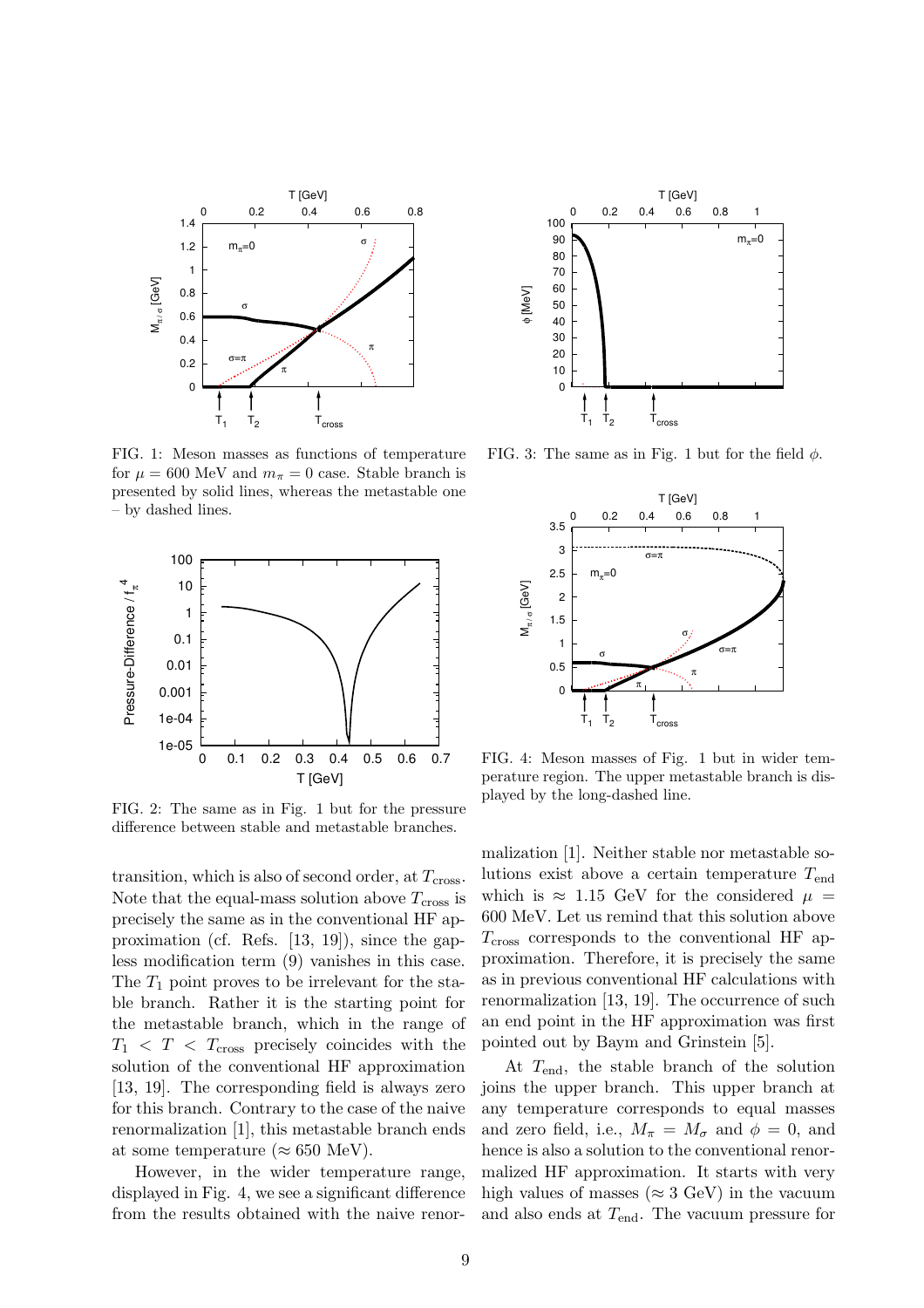

FIG. 1: Meson masses as functions of temperature for  $\mu = 600$  MeV and  $m_{\pi} = 0$  case. Stable branch is presented by solid lines, whereas the metastable one – by dashed lines.



FIG. 2: The same as in Fig. 1 but for the pressure difference between stable and metastable branches.

transition, which is also of second order, at  $T_{\text{cross}}$ . Note that the equal-mass solution above  $T_{\text{cross}}$  is precisely the same as in the conventional HF approximation (cf. Refs. [13, 19]), since the gapless modification term (9) vanishes in this case. The  $T_1$  point proves to be irrelevant for the stable branch. Rather it is the starting point for the metastable branch, which in the range of  $T_1 < T < T_{cross}$  precisely coincides with the solution of the conventional HF approximation [13, 19]. The corresponding field is always zero for this branch. Contrary to the case of the naive renormalization [1], this metastable branch ends at some temperature ( $\approx 650$  MeV).

However, in the wider temperature range, displayed in Fig. 4, we see a significant difference from the results obtained with the naive renor-



FIG. 3: The same as in Fig. 1 but for the field  $\phi$ .



FIG. 4: Meson masses of Fig. 1 but in wider temperature region. The upper metastable branch is displayed by the long-dashed line.

malization [1]. Neither stable nor metastable solutions exist above a certain temperature  $T_{\text{end}}$ which is  $\approx 1.15$  GeV for the considered  $\mu =$ 600 MeV. Let us remind that this solution above  $T_{\rm cross}$  corresponds to the conventional HF approximation. Therefore, it is precisely the same as in previous conventional HF calculations with renormalization [13, 19]. The occurrence of such an end point in the HF approximation was first pointed out by Baym and Grinstein [5].

At  $T_{\text{end}}$ , the stable branch of the solution joins the upper branch. This upper branch at any temperature corresponds to equal masses and zero field, i.e.,  $M_{\pi} = M_{\sigma}$  and  $\phi = 0$ , and hence is also a solution to the conventional renormalized HF approximation. It starts with very high values of masses ( $\approx 3$  GeV) in the vacuum and also ends at  $T_{\text{end}}$ . The vacuum pressure for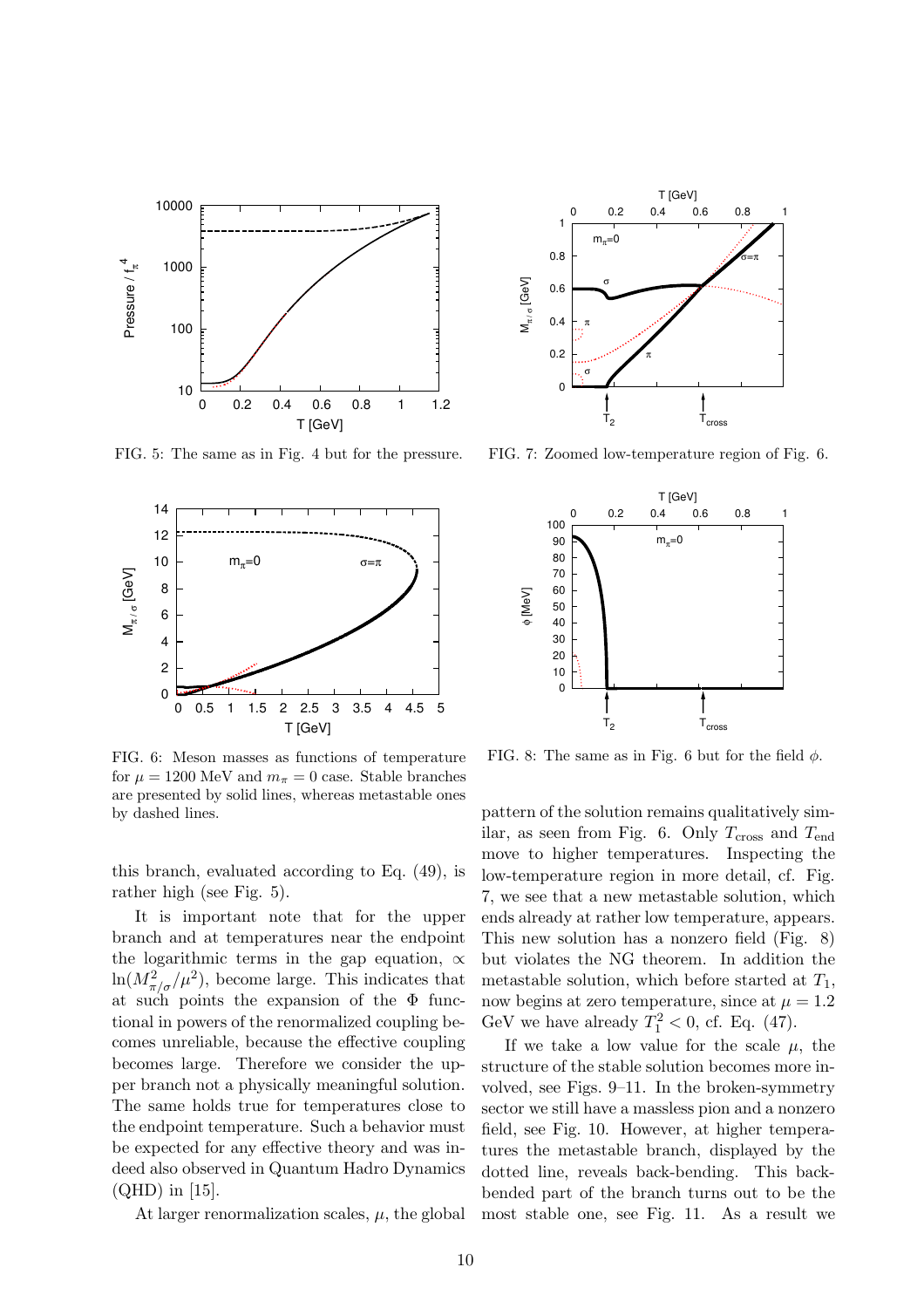

FIG. 5: The same as in Fig. 4 but for the pressure.



FIG. 6: Meson masses as functions of temperature for  $\mu = 1200$  MeV and  $m_{\pi} = 0$  case. Stable branches are presented by solid lines, whereas metastable ones by dashed lines.

this branch, evaluated according to Eq. (49), is rather high (see Fig. 5).

It is important note that for the upper branch and at temperatures near the endpoint the logarithmic terms in the gap equation,  $\alpha$  $\ln(M_{\pi/\sigma}^2/\mu^2)$ , become large. This indicates that at such points the expansion of the  $\Phi$  functional in powers of the renormalized coupling becomes unreliable, because the effective coupling becomes large. Therefore we consider the upper branch not a physically meaningful solution. The same holds true for temperatures close to the endpoint temperature. Such a behavior must be expected for any effective theory and was indeed also observed in Quantum Hadro Dynamics (QHD) in [15].

At larger renormalization scales,  $\mu$ , the global



FIG. 7: Zoomed low-temperature region of Fig. 6.



FIG. 8: The same as in Fig. 6 but for the field  $\phi$ .

pattern of the solution remains qualitatively similar, as seen from Fig. 6. Only  $T_{\text{cross}}$  and  $T_{\text{end}}$ move to higher temperatures. Inspecting the low-temperature region in more detail, cf. Fig. 7, we see that a new metastable solution, which ends already at rather low temperature, appears. This new solution has a nonzero field (Fig. 8) but violates the NG theorem. In addition the metastable solution, which before started at  $T_1$ , now begins at zero temperature, since at  $\mu = 1.2$ GeV we have already  $T_1^2 < 0$ , cf. Eq. (47).

If we take a low value for the scale  $\mu$ , the structure of the stable solution becomes more involved, see Figs. 9–11. In the broken-symmetry sector we still have a massless pion and a nonzero field, see Fig. 10. However, at higher temperatures the metastable branch, displayed by the dotted line, reveals back-bending. This backbended part of the branch turns out to be the most stable one, see Fig. 11. As a result we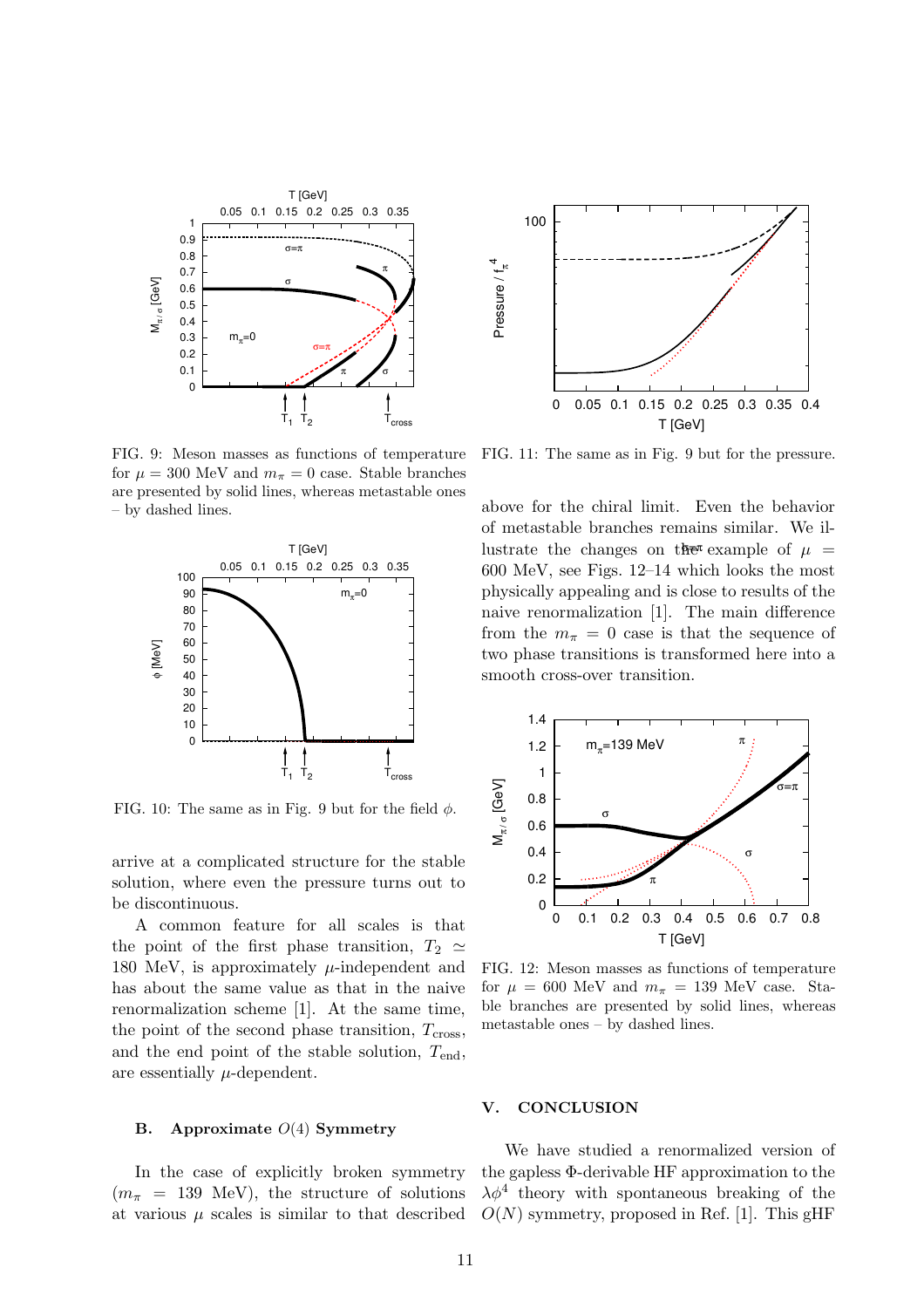

FIG. 9: Meson masses as functions of temperature for  $\mu = 300$  MeV and  $m_{\pi} = 0$  case. Stable branches are presented by solid lines, whereas metastable ones – by dashed lines.



FIG. 10: The same as in Fig. 9 but for the field  $\phi$ .

arrive at a complicated structure for the stable solution, where even the pressure turns out to be discontinuous.

A common feature for all scales is that the point of the first phase transition,  $T_2 \simeq$ 180 MeV, is approximately  $\mu$ -independent and has about the same value as that in the naive renormalization scheme [1]. At the same time, the point of the second phase transition,  $T_{cross}$ , and the end point of the stable solution,  $T_{\text{end}}$ , are essentially  $\mu$ -dependent.

### B. Approximate  $O(4)$  Symmetry

In the case of explicitly broken symmetry  $(m_\pi = 139 \text{ MeV})$ , the structure of solutions at various  $\mu$  scales is similar to that described



FIG. 11: The same as in Fig. 9 but for the pressure.

above for the chiral limit. Even the behavior of metastable branches remains similar. We illustrate the changes on the example of  $\mu =$ 600 MeV, see Figs. 12–14 which looks the most physically appealing and is close to results of the naive renormalization [1]. The main difference from the  $m_{\pi} = 0$  case is that the sequence of two phase transitions is transformed here into a smooth cross-over transition.



FIG. 12: Meson masses as functions of temperature for  $\mu = 600$  MeV and  $m_{\pi} = 139$  MeV case. Stable branches are presented by solid lines, whereas metastable ones – by dashed lines.

# V. CONCLUSION

We have studied a renormalized version of the gapless Φ-derivable HF approximation to the  $\lambda \phi^4$  theory with spontaneous breaking of the  $O(N)$  symmetry, proposed in Ref. [1]. This gHF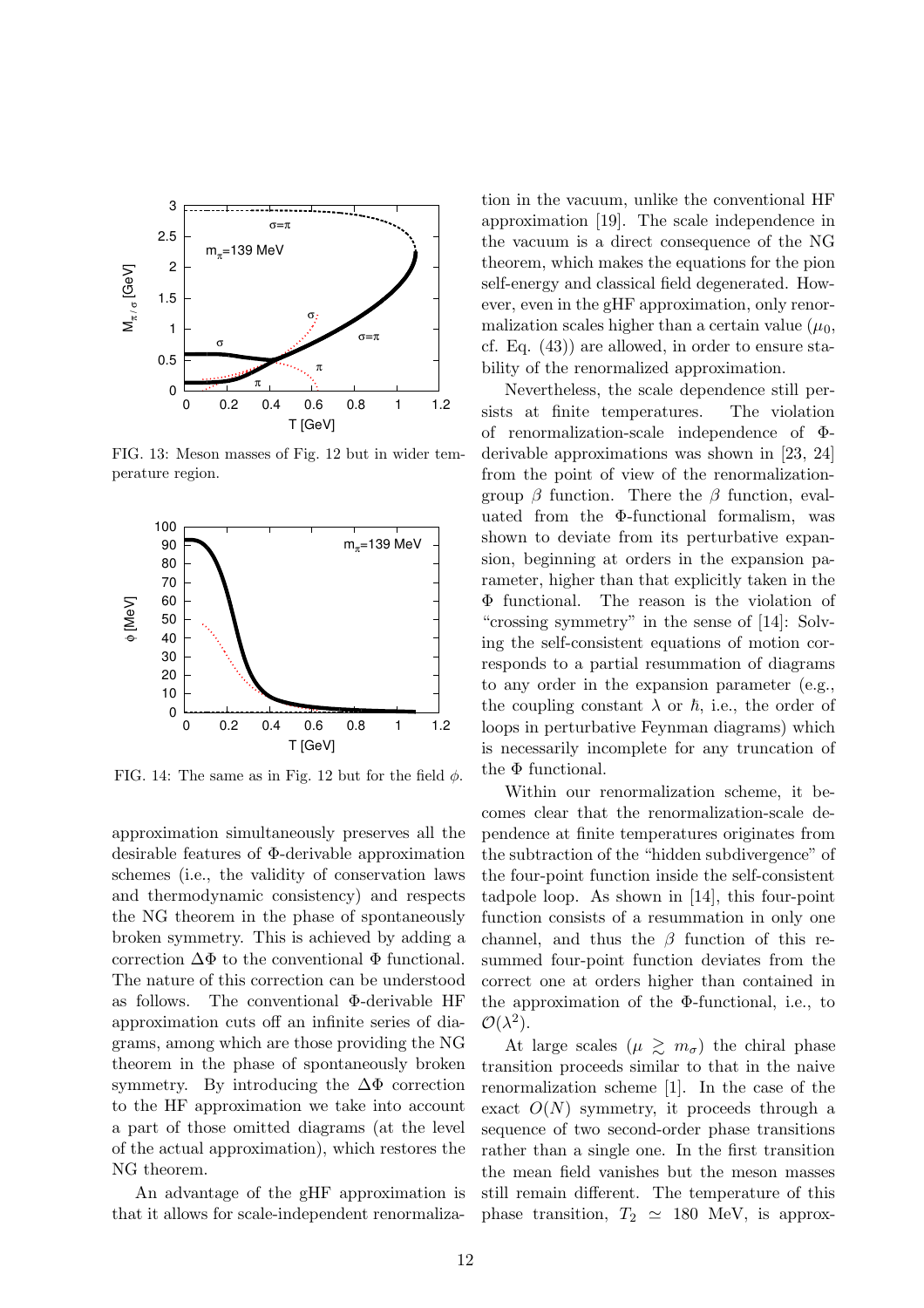

FIG. 13: Meson masses of Fig. 12 but in wider temperature region.



FIG. 14: The same as in Fig. 12 but for the field  $\phi$ .

approximation simultaneously preserves all the desirable features of Φ-derivable approximation schemes (i.e., the validity of conservation laws and thermodynamic consistency) and respects the NG theorem in the phase of spontaneously broken symmetry. This is achieved by adding a correction  $\Delta\Phi$  to the conventional  $\Phi$  functional. The nature of this correction can be understood as follows. The conventional Φ-derivable HF approximation cuts off an infinite series of diagrams, among which are those providing the NG theorem in the phase of spontaneously broken symmetry. By introducing the  $\Delta\Phi$  correction to the HF approximation we take into account a part of those omitted diagrams (at the level of the actual approximation), which restores the NG theorem.

An advantage of the gHF approximation is that it allows for scale-independent renormalization in the vacuum, unlike the conventional HF approximation [19]. The scale independence in the vacuum is a direct consequence of the NG theorem, which makes the equations for the pion self-energy and classical field degenerated. However, even in the gHF approximation, only renormalization scales higher than a certain value  $(\mu_0,$ cf. Eq. (43)) are allowed, in order to ensure stability of the renormalized approximation.

Nevertheless, the scale dependence still persists at finite temperatures. The violation of renormalization-scale independence of Φderivable approximations was shown in [23, 24] from the point of view of the renormalizationgroup  $\beta$  function. There the  $\beta$  function, evaluated from the Φ-functional formalism, was shown to deviate from its perturbative expansion, beginning at orders in the expansion parameter, higher than that explicitly taken in the Φ functional. The reason is the violation of "crossing symmetry" in the sense of [14]: Solving the self-consistent equations of motion corresponds to a partial resummation of diagrams to any order in the expansion parameter (e.g., the coupling constant  $\lambda$  or  $\hbar$ , i.e., the order of loops in perturbative Feynman diagrams) which is necessarily incomplete for any truncation of the Φ functional.

Within our renormalization scheme, it becomes clear that the renormalization-scale dependence at finite temperatures originates from the subtraction of the "hidden subdivergence" of the four-point function inside the self-consistent tadpole loop. As shown in [14], this four-point function consists of a resummation in only one channel, and thus the  $\beta$  function of this resummed four-point function deviates from the correct one at orders higher than contained in the approximation of the Φ-functional, i.e., to  $\mathcal{O}(\lambda^2)$ .

At large scales  $(\mu \geq m_{\sigma})$  the chiral phase transition proceeds similar to that in the naive renormalization scheme [1]. In the case of the exact  $O(N)$  symmetry, it proceeds through a sequence of two second-order phase transitions rather than a single one. In the first transition the mean field vanishes but the meson masses still remain different. The temperature of this phase transition,  $T_2 \simeq 180$  MeV, is approx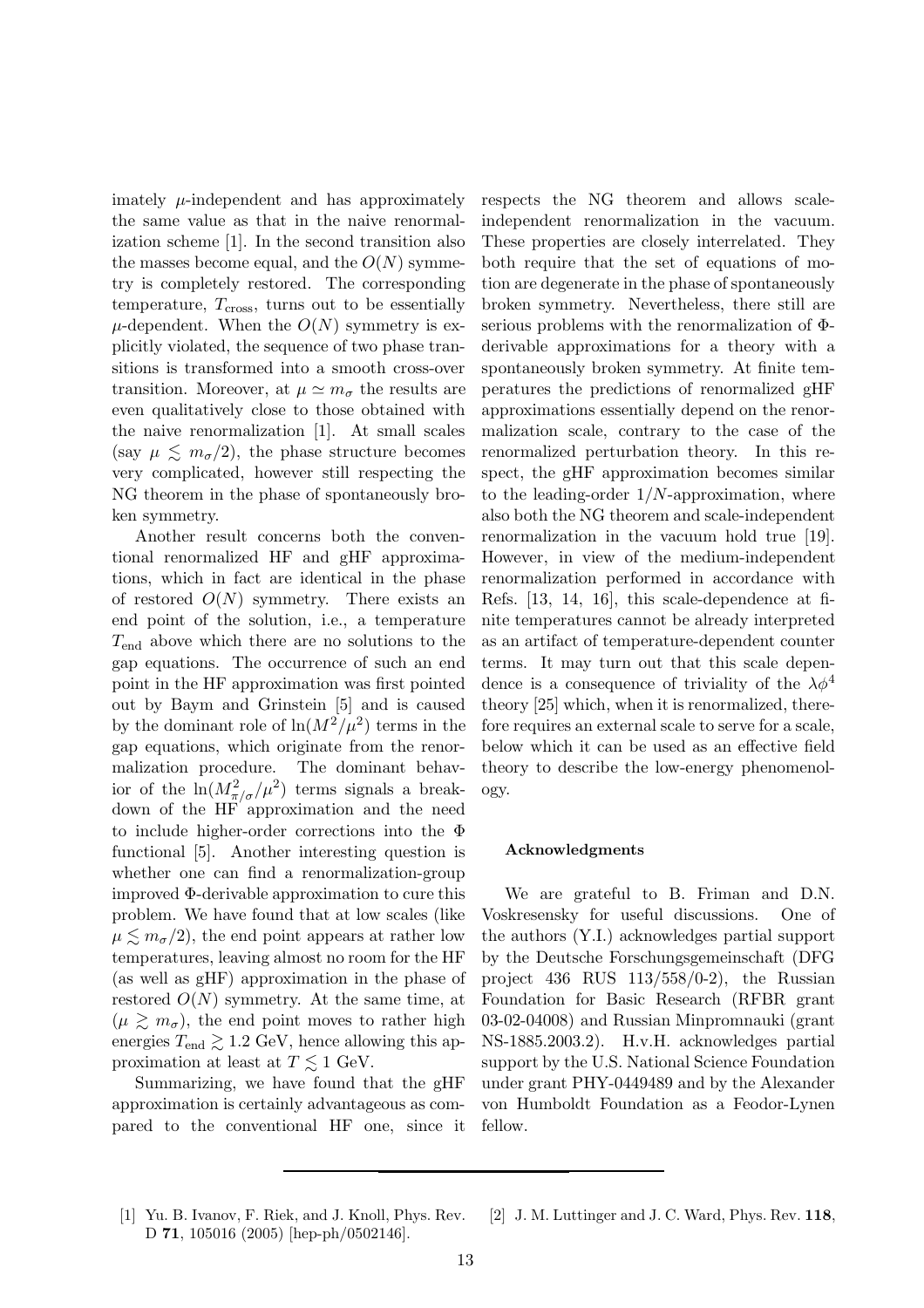imately  $\mu$ -independent and has approximately the same value as that in the naive renormalization scheme [1]. In the second transition also the masses become equal, and the  $O(N)$  symmetry is completely restored. The corresponding temperature,  $T_{\text{cross}}$ , turns out to be essentially  $\mu$ -dependent. When the  $O(N)$  symmetry is explicitly violated, the sequence of two phase transitions is transformed into a smooth cross-over transition. Moreover, at  $\mu \simeq m_{\sigma}$  the results are even qualitatively close to those obtained with the naive renormalization [1]. At small scales (say  $\mu \lesssim m_{\sigma}/2$ ), the phase structure becomes very complicated, however still respecting the NG theorem in the phase of spontaneously broken symmetry.

Another result concerns both the conventional renormalized HF and gHF approximations, which in fact are identical in the phase of restored  $O(N)$  symmetry. There exists an end point of the solution, i.e., a temperature  $T_{\text{end}}$  above which there are no solutions to the gap equations. The occurrence of such an end point in the HF approximation was first pointed out by Baym and Grinstein [5] and is caused by the dominant role of  $\ln(M^2/\mu^2)$  terms in the gap equations, which originate from the renormalization procedure. The dominant behavior of the  $\ln(M_{\pi/\sigma}^2/\mu^2)$  terms signals a breakdown of the HF approximation and the need to include higher-order corrections into the Φ functional [5]. Another interesting question is whether one can find a renormalization-group improved Φ-derivable approximation to cure this problem. We have found that at low scales (like  $\mu \lesssim m_{\sigma}/2$ , the end point appears at rather low temperatures, leaving almost no room for the HF (as well as gHF) approximation in the phase of restored  $O(N)$  symmetry. At the same time, at  $(\mu \gtrsim m_{\sigma})$ , the end point moves to rather high energies  $T_{\text{end}} \gtrsim 1.2 \text{ GeV}$ , hence allowing this approximation at least at  $T \lesssim 1$  GeV.

Summarizing, we have found that the gHF approximation is certainly advantageous as compared to the conventional HF one, since it respects the NG theorem and allows scaleindependent renormalization in the vacuum. These properties are closely interrelated. They both require that the set of equations of motion are degenerate in the phase of spontaneously broken symmetry. Nevertheless, there still are serious problems with the renormalization of Φderivable approximations for a theory with a spontaneously broken symmetry. At finite temperatures the predictions of renormalized gHF approximations essentially depend on the renormalization scale, contrary to the case of the renormalized perturbation theory. In this respect, the gHF approximation becomes similar to the leading-order  $1/N$ -approximation, where also both the NG theorem and scale-independent renormalization in the vacuum hold true [19]. However, in view of the medium-independent renormalization performed in accordance with Refs. [13, 14, 16], this scale-dependence at finite temperatures cannot be already interpreted as an artifact of temperature-dependent counter terms. It may turn out that this scale dependence is a consequence of triviality of the  $\lambda \phi^4$ theory [25] which, when it is renormalized, therefore requires an external scale to serve for a scale, below which it can be used as an effective field theory to describe the low-energy phenomenology.

#### Acknowledgments

We are grateful to B. Friman and D.N. Voskresensky for useful discussions. One of the authors (Y.I.) acknowledges partial support by the Deutsche Forschungsgemeinschaft (DFG project 436 RUS 113/558/0-2), the Russian Foundation for Basic Research (RFBR grant 03-02-04008) and Russian Minpromnauki (grant NS-1885.2003.2). H.v.H. acknowledges partial support by the U.S. National Science Foundation under grant PHY-0449489 and by the Alexander von Humboldt Foundation as a Feodor-Lynen fellow.

- [1] Yu. B. Ivanov, F. Riek, and J. Knoll, Phys. Rev. D 71, 105016 (2005) [hep-ph/0502146].
- [2] J. M. Luttinger and J. C. Ward, Phys. Rev. 118,